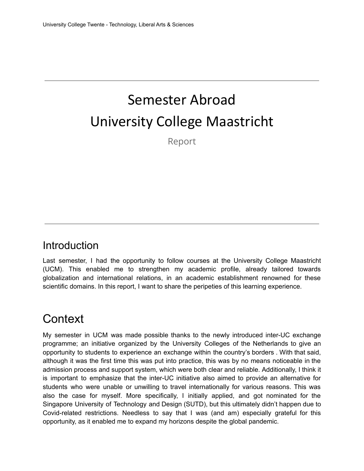# Semester Abroad University College Maastricht

Report

#### Introduction

Last semester, I had the opportunity to follow courses at the University College Maastricht (UCM). This enabled me to strengthen my academic profile, already tailored towards globalization and international relations, in an academic establishment renowned for these scientific domains. In this report, I want to share the peripeties of this learning experience.

#### **Context**

My semester in UCM was made possible thanks to the newly introduced inter-UC exchange programme; an initiative organized by the University Colleges of the Netherlands to give an opportunity to students to experience an exchange within the country's borders . With that said, although it was the first time this was put into practice, this was by no means noticeable in the admission process and support system, which were both clear and reliable. Additionally, I think it is important to emphasize that the inter-UC initiative also aimed to provide an alternative for students who were unable or unwilling to travel internationally for various reasons. This was also the case for myself. More specifically, I initially applied, and got nominated for the Singapore University of Technology and Design (SUTD), but this ultimately didn't happen due to Covid-related restrictions. Needless to say that I was (and am) especially grateful for this opportunity, as it enabled me to expand my horizons despite the global pandemic.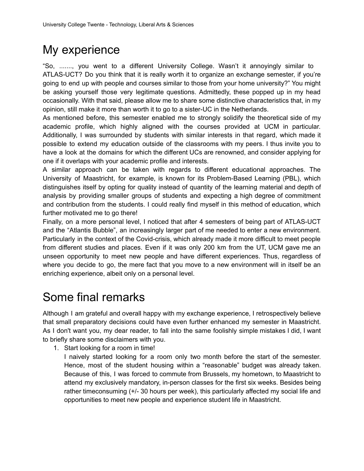### My experience

"So, ......., you went to a different University College. Wasn't it annoyingly similar to ATLAS-UCT? Do you think that it is really worth it to organize an exchange semester, if you're going to end up with people and courses similar to those from your home university?" You might be asking yourself those very legitimate questions. Admittedly, these popped up in my head occasionally. With that said, please allow me to share some distinctive characteristics that, in my opinion, still make it more than worth it to go to a sister-UC in the Netherlands.

As mentioned before, this semester enabled me to strongly solidify the theoretical side of my academic profile, which highly aligned with the courses provided at UCM in particular. Additionally, I was surrounded by students with similar interests in that regard, which made it possible to extend my education outside of the classrooms with my peers. I thus invite you to have a look at the domains for which the different UCs are renowned, and consider applying for one if it overlaps with your academic profile and interests.

A similar approach can be taken with regards to different educational approaches. The University of Maastricht, for example, is known for its Problem-Based Learning (PBL), which distinguishes itself by opting for quality instead of quantity of the learning material and depth of analysis by providing smaller groups of students and expecting a high degree of commitment and contribution from the students. I could really find myself in this method of education, which further motivated me to go there!

Finally, on a more personal level, I noticed that after 4 semesters of being part of ATLAS-UCT and the "Atlantis Bubble", an increasingly larger part of me needed to enter a new environment. Particularly in the context of the Covid-crisis, which already made it more difficult to meet people from different studies and places. Even if it was only 200 km from the UT, UCM gave me an unseen opportunity to meet new people and have different experiences. Thus, regardless of where you decide to go, the mere fact that you move to a new environment will in itself be an enriching experience, albeit only on a personal level.

## Some final remarks

Although I am grateful and overall happy with my exchange experience, I retrospectively believe that small preparatory decisions could have even further enhanced my semester in Maastricht. As I don't want you, my dear reader, to fall into the same foolishly simple mistakes I did, I want to briefly share some disclaimers with you.

1. Start looking for a room in time!

I naively started looking for a room only two month before the start of the semester. Hence, most of the student housing within a "reasonable" budget was already taken. Because of this, I was forced to commute from Brussels, my hometown, to Maastricht to attend my exclusively mandatory, in-person classes for the first six weeks. Besides being rather timeconsuming (+/- 30 hours per week), this particularly affected my social life and opportunities to meet new people and experience student life in Maastricht.